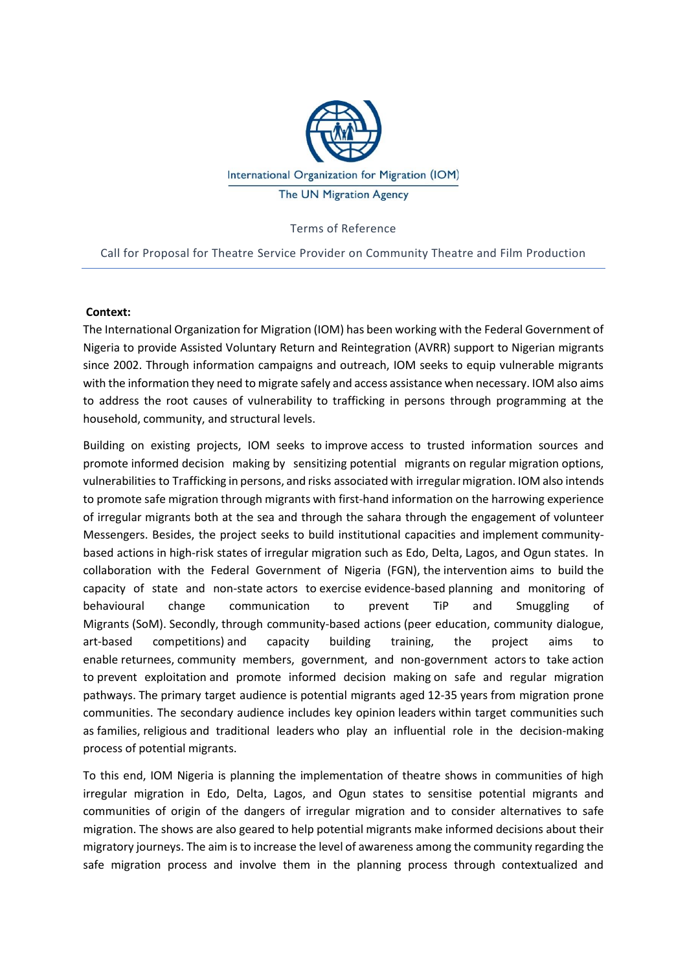

Terms of Reference

Call for Proposal for Theatre Service Provider on Community Theatre and Film Production

#### **Context:**

The International Organization for Migration (IOM) has been working with the Federal Government of Nigeria to provide Assisted Voluntary Return and Reintegration (AVRR) support to Nigerian migrants since 2002. Through information campaigns and outreach, IOM seeks to equip vulnerable migrants with the information they need to migrate safely and access assistance when necessary. IOM also aims to address the root causes of vulnerability to trafficking in persons through programming at the household, community, and structural levels.

Building on existing projects, IOM seeks to improve access to trusted information sources and promote informed decision making by sensitizing potential migrants on regular migration options, vulnerabilities to Trafficking in persons, and risks associated with irregular migration. IOM also intends to promote safe migration through migrants with first-hand information on the harrowing experience of irregular migrants both at the sea and through the sahara through the engagement of volunteer Messengers. Besides, the project seeks to build institutional capacities and implement communitybased actions in high-risk states of irregular migration such as Edo, Delta, Lagos, and Ogun states. In collaboration with the Federal Government of Nigeria (FGN), the intervention aims to build the capacity of state and non-state actors to exercise evidence-based planning and monitoring of behavioural change communication to prevent TiP and Smuggling of Migrants (SoM). Secondly, through community-based actions (peer education, community dialogue, art-based competitions) and capacity building training, the project aims to enable returnees, community members, government, and non-government actors to take action to prevent exploitation and promote informed decision making on safe and regular migration pathways. The primary target audience is potential migrants aged 12-35 years from migration prone communities. The secondary audience includes key opinion leaders within target communities such as families, religious and traditional leaders who play an influential role in the decision-making process of potential migrants.

To this end, IOM Nigeria is planning the implementation of theatre shows in communities of high irregular migration in Edo, Delta, Lagos, and Ogun states to sensitise potential migrants and communities of origin of the dangers of irregular migration and to consider alternatives to safe migration. The shows are also geared to help potential migrants make informed decisions about their migratory journeys. The aim is to increase the level of awareness among the community regarding the safe migration process and involve them in the planning process through contextualized and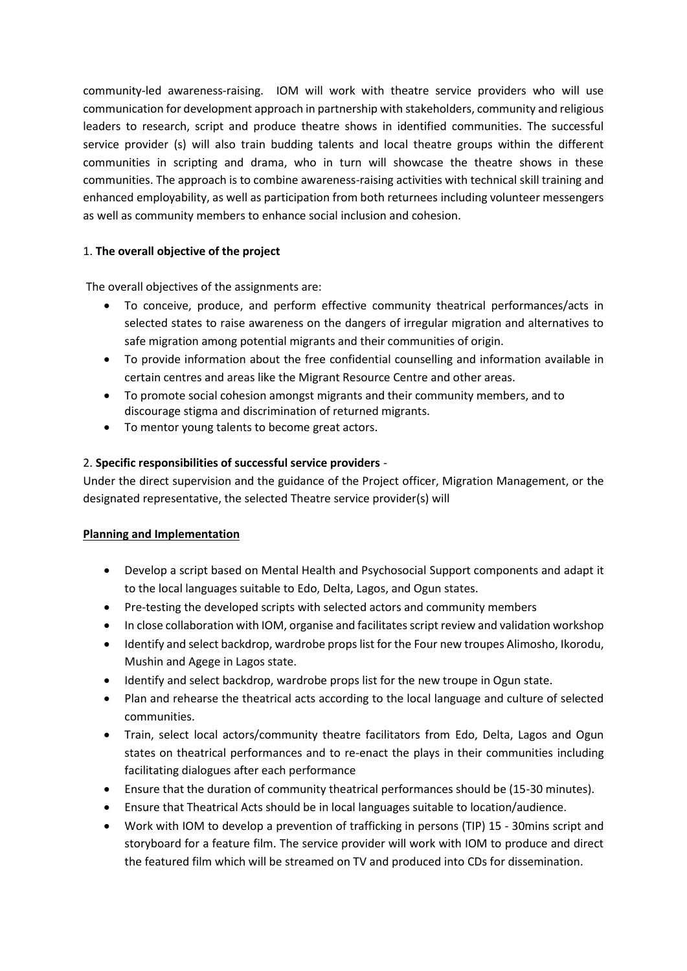community-led awareness-raising. IOM will work with theatre service providers who will use communication for development approach in partnership with stakeholders, community and religious leaders to research, script and produce theatre shows in identified communities. The successful service provider (s) will also train budding talents and local theatre groups within the different communities in scripting and drama, who in turn will showcase the theatre shows in these communities. The approach is to combine awareness-raising activities with technical skill training and enhanced employability, as well as participation from both returnees including volunteer messengers as well as community members to enhance social inclusion and cohesion.

## 1. **The overall objective of the project**

The overall objectives of the assignments are:

- To conceive, produce, and perform effective community theatrical performances/acts in selected states to raise awareness on the dangers of irregular migration and alternatives to safe migration among potential migrants and their communities of origin.
- To provide information about the free confidential counselling and information available in certain centres and areas like the Migrant Resource Centre and other areas.
- To promote social cohesion amongst migrants and their community members, and to discourage stigma and discrimination of returned migrants.
- To mentor young talents to become great actors.

## 2. **Specific responsibilities of successful service providers** -

Under the direct supervision and the guidance of the Project officer, Migration Management, or the designated representative, the selected Theatre service provider(s) will

## **Planning and Implementation**

- Develop a script based on Mental Health and Psychosocial Support components and adapt it to the local languages suitable to Edo, Delta, Lagos, and Ogun states.
- Pre-testing the developed scripts with selected actors and community members
- In close collaboration with IOM, organise and facilitates script review and validation workshop
- Identify and select backdrop, wardrobe props list for the Four new troupes Alimosho, Ikorodu, Mushin and Agege in Lagos state.
- Identify and select backdrop, wardrobe props list for the new troupe in Ogun state.
- Plan and rehearse the theatrical acts according to the local language and culture of selected communities.
- Train, select local actors/community theatre facilitators from Edo, Delta, Lagos and Ogun states on theatrical performances and to re-enact the plays in their communities including facilitating dialogues after each performance
- Ensure that the duration of community theatrical performances should be (15-30 minutes).
- Ensure that Theatrical Acts should be in local languages suitable to location/audience.
- Work with IOM to develop a prevention of trafficking in persons (TIP) 15 30mins script and storyboard for a feature film. The service provider will work with IOM to produce and direct the featured film which will be streamed on TV and produced into CDs for dissemination.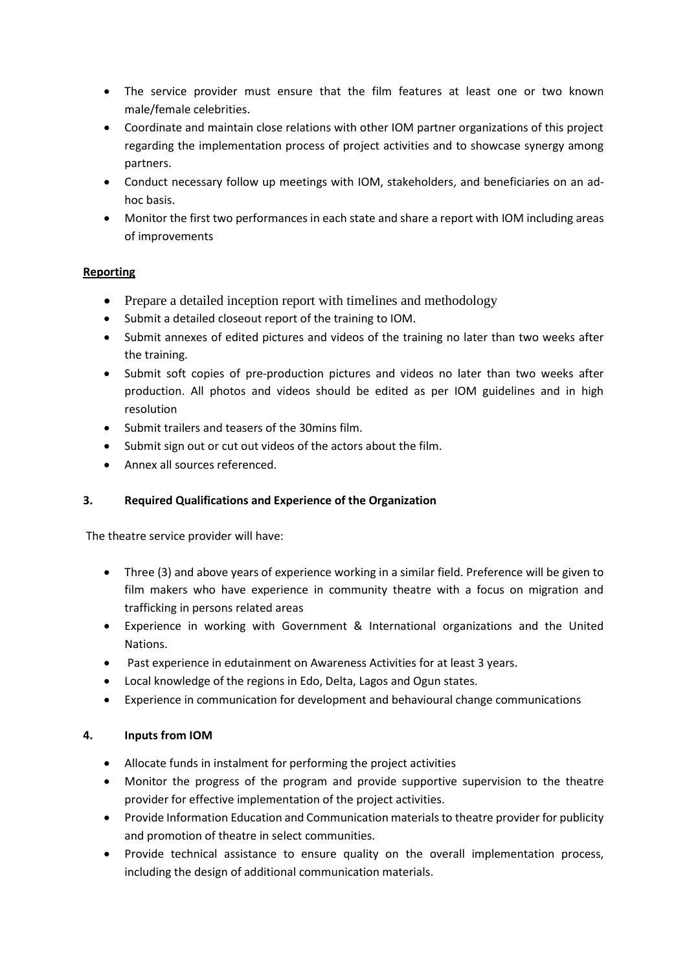- The service provider must ensure that the film features at least one or two known male/female celebrities.
- Coordinate and maintain close relations with other IOM partner organizations of this project regarding the implementation process of project activities and to showcase synergy among partners.
- Conduct necessary follow up meetings with IOM, stakeholders, and beneficiaries on an adhoc basis.
- Monitor the first two performances in each state and share a report with IOM including areas of improvements

# **Reporting**

- Prepare a detailed inception report with timelines and methodology
- Submit a detailed closeout report of the training to IOM.
- Submit annexes of edited pictures and videos of the training no later than two weeks after the training.
- Submit soft copies of pre-production pictures and videos no later than two weeks after production. All photos and videos should be edited as per IOM guidelines and in high resolution
- Submit trailers and teasers of the 30mins film.
- Submit sign out or cut out videos of the actors about the film.
- Annex all sources referenced.

## **3. Required Qualifications and Experience of the Organization**

The theatre service provider will have:

- Three (3) and above years of experience working in a similar field. Preference will be given to film makers who have experience in community theatre with a focus on migration and trafficking in persons related areas
- Experience in working with Government & International organizations and the United Nations.
- Past experience in edutainment on Awareness Activities for at least 3 years.
- Local knowledge of the regions in Edo, Delta, Lagos and Ogun states.
- Experience in communication for development and behavioural change communications

## **4. Inputs from IOM**

- Allocate funds in instalment for performing the project activities
- Monitor the progress of the program and provide supportive supervision to the theatre provider for effective implementation of the project activities.
- Provide Information Education and Communication materials to theatre provider for publicity and promotion of theatre in select communities.
- Provide technical assistance to ensure quality on the overall implementation process, including the design of additional communication materials.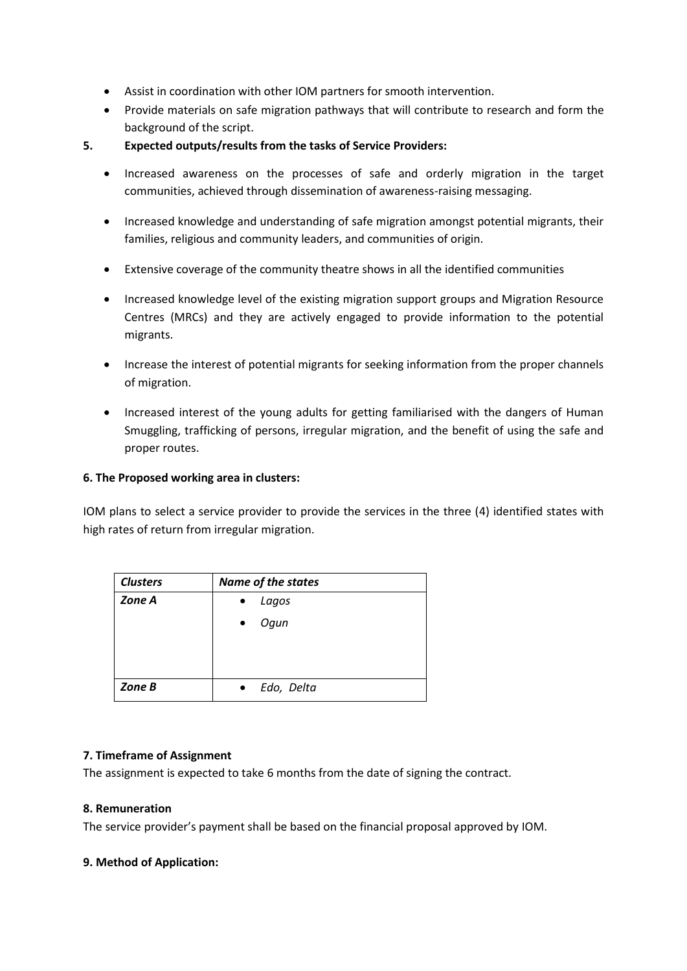- Assist in coordination with other IOM partners for smooth intervention.
- Provide materials on safe migration pathways that will contribute to research and form the background of the script.
- **5. Expected outputs/results from the tasks of Service Providers:**
	- Increased awareness on the processes of safe and orderly migration in the target communities, achieved through dissemination of awareness-raising messaging.
	- Increased knowledge and understanding of safe migration amongst potential migrants, their families, religious and community leaders, and communities of origin.
	- Extensive coverage of the community theatre shows in all the identified communities
	- Increased knowledge level of the existing migration support groups and Migration Resource Centres (MRCs) and they are actively engaged to provide information to the potential migrants.
	- Increase the interest of potential migrants for seeking information from the proper channels of migration.
	- Increased interest of the young adults for getting familiarised with the dangers of Human Smuggling, trafficking of persons, irregular migration, and the benefit of using the safe and proper routes.

## **6. The Proposed working area in clusters:**

IOM plans to select a service provider to provide the services in the three (4) identified states with high rates of return from irregular migration.

| <b>Clusters</b> | <b>Name of the states</b> |  |  |  |  |
|-----------------|---------------------------|--|--|--|--|
| Zone A          | Lagos<br>$\bullet$        |  |  |  |  |
|                 | Ogun<br>$\bullet$         |  |  |  |  |
|                 |                           |  |  |  |  |
|                 |                           |  |  |  |  |
| Zone B          | Edo, Delta                |  |  |  |  |

## **7. Timeframe of Assignment**

The assignment is expected to take 6 months from the date of signing the contract.

#### **8. Remuneration**

The service provider's payment shall be based on the financial proposal approved by IOM.

#### **9. Method of Application:**